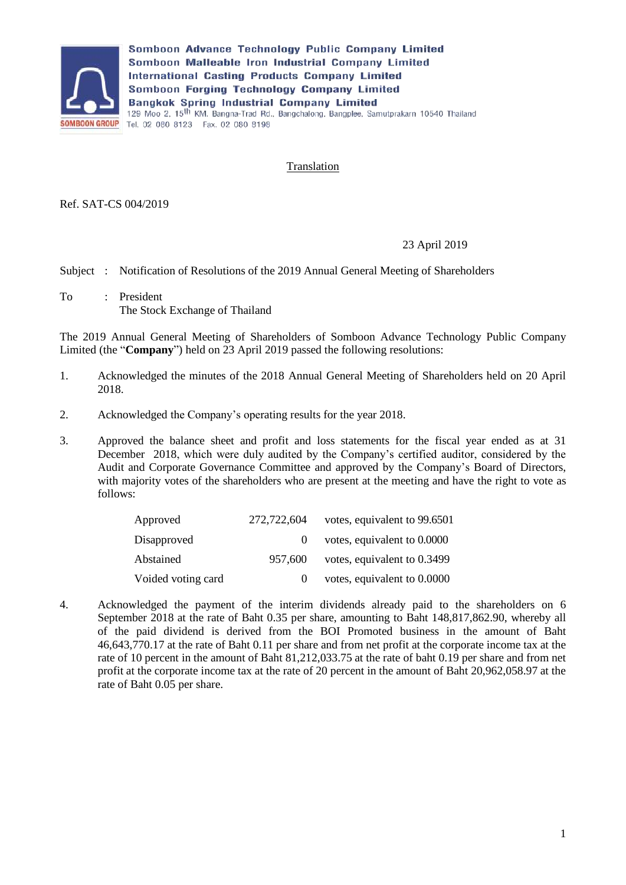

Somboon Advance Technology Public Company Limited Somboon Malleable Iron Industrial Company Limited **International Casting Products Company Limited** Somboon Forging Technology Company Limited **Bangkok Spring Industrial Company Limited** 129 Moo 2, 15<sup>th</sup> KM. Bangna-Trad Rd., Bangchalong, Bangplee, Samutprakarn 10540 Thailand **SOMBOON GROUP** Tel. 02 080 8123 Fax. 02 080 8198

## **Translation**

Ref. SAT-CS 004/2019

## 23 April 2019

Subject : Notification of Resolutions of the 2019 Annual General Meeting of Shareholders

To : President The Stock Exchange of Thailand

The 2019 Annual General Meeting of Shareholders of Somboon Advance Technology Public Company Limited (the "**Company**") held on 23 April 2019 passed the following resolutions:

- 1. Acknowledged the minutes of the 2018 Annual General Meeting of Shareholders held on 20 April 2018.
- 2. Acknowledged the Company's operating results for the year 2018.
- 3. Approved the balance sheet and profit and loss statements for the fiscal year ended as at 31 December 2018, which were duly audited by the Company's certified auditor, considered by the Audit and Corporate Governance Committee and approved by the Company's Board of Directors, with majority votes of the shareholders who are present at the meeting and have the right to vote as follows:

| Approved           | 272,722,604 | votes, equivalent to 99.6501 |
|--------------------|-------------|------------------------------|
| Disapproved        |             | votes, equivalent to 0.0000  |
| Abstained          | 957.600     | votes, equivalent to 0.3499  |
| Voided voting card |             | votes, equivalent to 0.0000  |

4. Acknowledged the payment of the interim dividends already paid to the shareholders on 6 September 2018 at the rate of Baht 0.35 per share, amounting to Baht 148,817,862.90, whereby all of the paid dividend is derived from the BOI Promoted business in the amount of Baht 46,643,770.17 at the rate of Baht 0.11 per share and from net profit at the corporate income tax at the rate of 10 percent in the amount of Baht 81,212,033.75 at the rate of baht 0.19 per share and from net profit at the corporate income tax at the rate of 20 percent in the amount of Baht 20,962,058.97 at the rate of Baht 0.05 per share.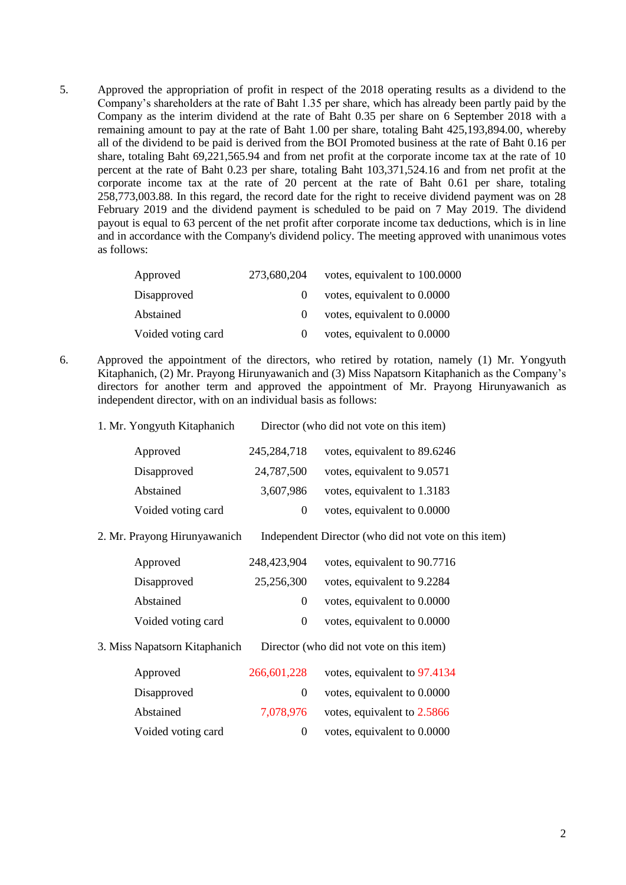5. Approved the appropriation of profit in respect of the 2018 operating results as a dividend to the Company's shareholders at the rate of Baht 1.35 per share, which has already been partly paid by the Company as the interim dividend at the rate of Baht 0.35 per share on 6 September 2018 with a remaining amount to pay at the rate of Baht 1.00 per share, totaling Baht 425,193,894.00, whereby all of the dividend to be paid is derived from the BOI Promoted business at the rate of Baht 0.16 per share, totaling Baht 69,221,565.94 and from net profit at the corporate income tax at the rate of 10 percent at the rate of Baht 0.23 per share, totaling Baht 103,371,524.16 and from net profit at the corporate income tax at the rate of 20 percent at the rate of Baht 0.61 per share, totaling 258,773,003.88. In this regard, the record date for the right to receive dividend payment was on 28 February 2019 and the dividend payment is scheduled to be paid on 7 May 2019. The dividend payout is equal to 63 percent of the net profit after corporate income tax deductions, which is in line and in accordance with the Company's dividend policy. The meeting approved with unanimous votes as follows:

| Approved           | 273.680.204 | votes, equivalent to 100.0000 |
|--------------------|-------------|-------------------------------|
| Disapproved        | $\theta$    | votes, equivalent to 0.0000   |
| Abstained          | $\theta$    | votes, equivalent to 0.0000   |
| Voided voting card | $\Omega$    | votes, equivalent to 0.0000   |

- 6. Approved the appointment of the directors, who retired by rotation, namely (1) Mr. Yongyuth Kitaphanich, (2) Mr. Prayong Hirunyawanich and (3) Miss Napatsorn Kitaphanich as the Company's directors for another term and approved the appointment of Mr. Prayong Hirunyawanich as independent director, with on an individual basis as follows:
	- 1. Mr. Yongyuth Kitaphanich Director (who did not vote on this item)

| Approved           | 245, 284, 718 | votes, equivalent to 89.6246 |
|--------------------|---------------|------------------------------|
| Disapproved        | 24,787,500    | votes, equivalent to 9.0571  |
| Abstained          | 3,607,986     | votes, equivalent to 1.3183  |
| Voided voting card | $\theta$      | votes, equivalent to 0.0000  |

2. Mr. Prayong Hirunyawanich Independent Director (who did not vote on this item)

| 248,423,904 | votes, equivalent to 90.7716 |
|-------------|------------------------------|
| 25,256,300  | votes, equivalent to 9.2284  |
| $\theta$    | votes, equivalent to 0.0000  |
| $\theta$    | votes, equivalent to 0.0000  |
|             |                              |

3. Miss Napatsorn Kitaphanich Director (who did not vote on this item)

| Approved           | 266,601,228 | votes, equivalent to 97.4134 |
|--------------------|-------------|------------------------------|
| Disapproved        |             | votes, equivalent to 0.0000  |
| Abstained          | 7.078.976   | votes, equivalent to 2.5866  |
| Voided voting card | $\Omega$    | votes, equivalent to 0.0000  |